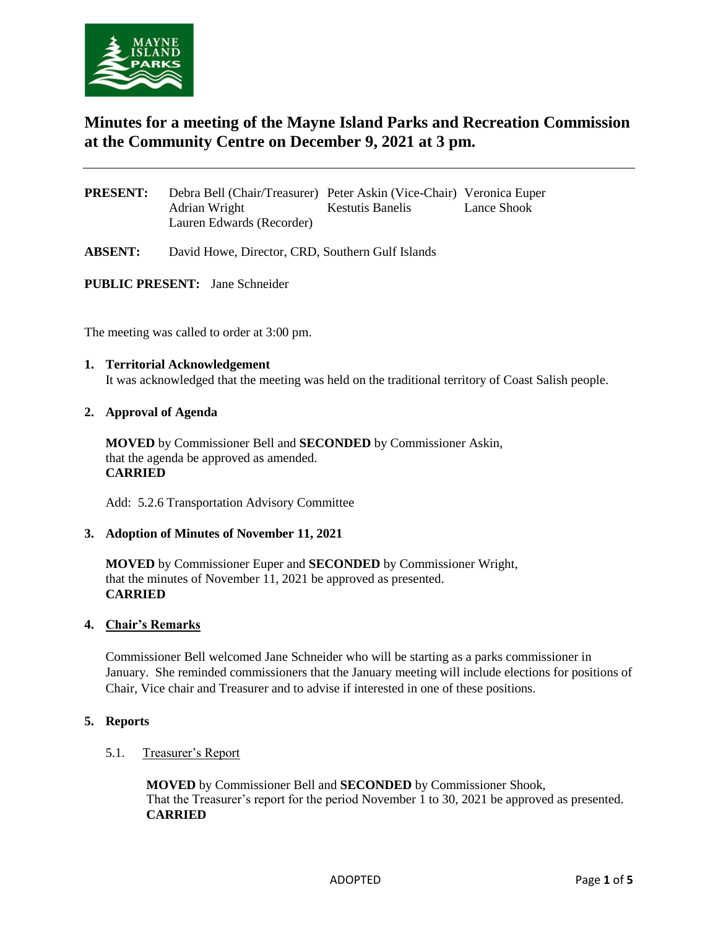

# **Minutes for a meeting of the Mayne Island Parks and Recreation Commission at the Community Centre on December 9, 2021 at 3 pm.**

| <b>PRESENT:</b> | Debra Bell (Chair/Treasurer) Peter Askin (Vice-Chair) Veronica Euper |                         |             |
|-----------------|----------------------------------------------------------------------|-------------------------|-------------|
|                 | Adrian Wright                                                        | <b>Kestutis Banelis</b> | Lance Shook |
|                 | Lauren Edwards (Recorder)                                            |                         |             |

**ABSENT:** David Howe, Director, CRD, Southern Gulf Islands

**PUBLIC PRESENT:** Jane Schneider

The meeting was called to order at 3:00 pm.

## **1. Territorial Acknowledgement**

It was acknowledged that the meeting was held on the traditional territory of Coast Salish people.

### **2. Approval of Agenda**

**MOVED** by Commissioner Bell and **SECONDED** by Commissioner Askin, that the agenda be approved as amended. **CARRIED** 

Add: 5.2.6 Transportation Advisory Committee

#### **3. Adoption of Minutes of November 11, 2021**

**MOVED** by Commissioner Euper and **SECONDED** by Commissioner Wright, that the minutes of November 11, 2021 be approved as presented. **CARRIED** 

#### **4. Chair's Remarks**

Commissioner Bell welcomed Jane Schneider who will be starting as a parks commissioner in January. She reminded commissioners that the January meeting will include elections for positions of Chair, Vice chair and Treasurer and to advise if interested in one of these positions.

#### **5. Reports**

#### 5.1. Treasurer's Report

**MOVED** by Commissioner Bell and **SECONDED** by Commissioner Shook, That the Treasurer's report for the period November 1 to 30, 2021 be approved as presented. **CARRIED**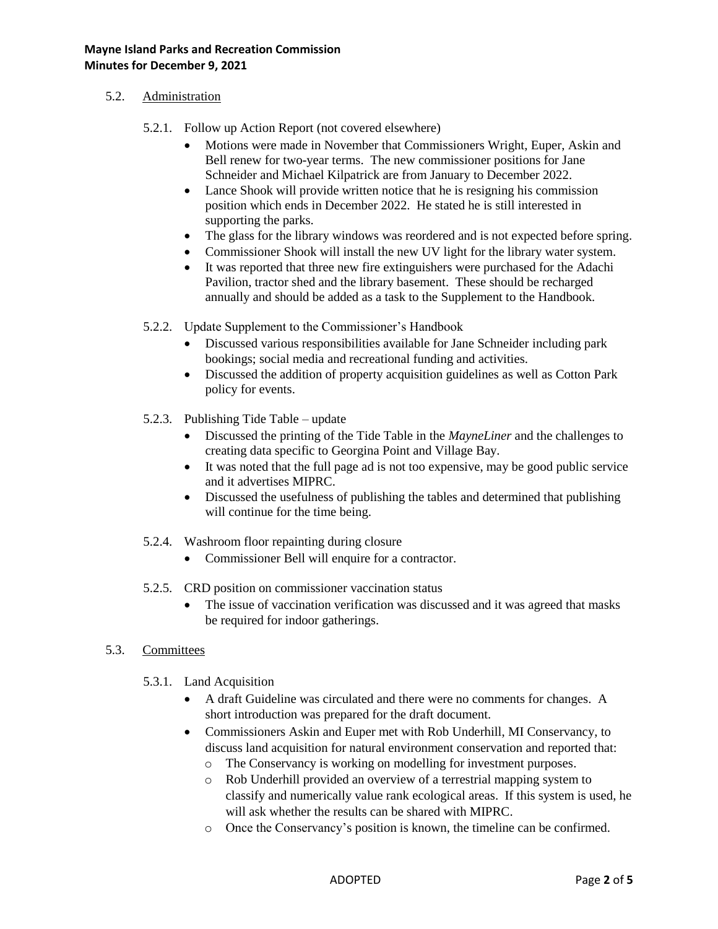## 5.2. Administration

- 5.2.1. Follow up Action Report (not covered elsewhere)
	- Motions were made in November that Commissioners Wright, Euper, Askin and Bell renew for two-year terms. The new commissioner positions for Jane Schneider and Michael Kilpatrick are from January to December 2022.
	- Lance Shook will provide written notice that he is resigning his commission position which ends in December 2022. He stated he is still interested in supporting the parks.
	- The glass for the library windows was reordered and is not expected before spring.
	- Commissioner Shook will install the new UV light for the library water system.
	- It was reported that three new fire extinguishers were purchased for the Adachi Pavilion, tractor shed and the library basement. These should be recharged annually and should be added as a task to the Supplement to the Handbook.
- 5.2.2. Update Supplement to the Commissioner's Handbook
	- Discussed various responsibilities available for Jane Schneider including park bookings; social media and recreational funding and activities.
	- Discussed the addition of property acquisition guidelines as well as Cotton Park policy for events.
- 5.2.3. Publishing Tide Table update
	- Discussed the printing of the Tide Table in the *MayneLiner* and the challenges to creating data specific to Georgina Point and Village Bay.
	- It was noted that the full page ad is not too expensive, may be good public service and it advertises MIPRC.
	- Discussed the usefulness of publishing the tables and determined that publishing will continue for the time being.
- 5.2.4. Washroom floor repainting during closure
	- Commissioner Bell will enquire for a contractor.
- 5.2.5. CRD position on commissioner vaccination status
	- The issue of vaccination verification was discussed and it was agreed that masks be required for indoor gatherings.

## 5.3. Committees

- 5.3.1. Land Acquisition
	- A draft Guideline was circulated and there were no comments for changes. A short introduction was prepared for the draft document.
	- Commissioners Askin and Euper met with Rob Underhill, MI Conservancy, to discuss land acquisition for natural environment conservation and reported that:
		- o The Conservancy is working on modelling for investment purposes.
		- o Rob Underhill provided an overview of a terrestrial mapping system to classify and numerically value rank ecological areas. If this system is used, he will ask whether the results can be shared with MIPRC.
		- o Once the Conservancy's position is known, the timeline can be confirmed.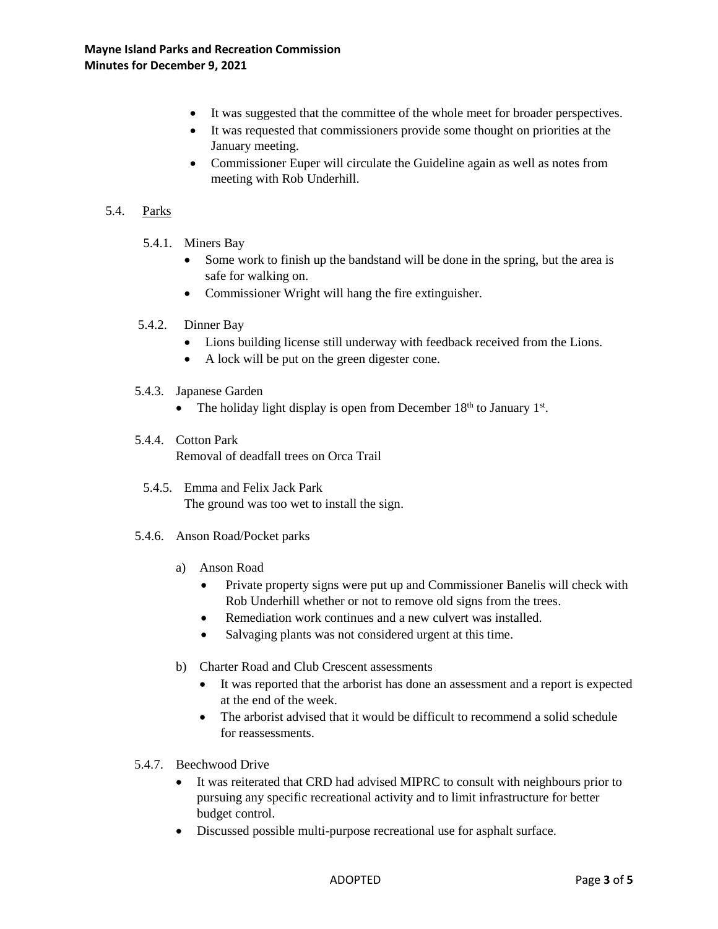- It was suggested that the committee of the whole meet for broader perspectives.
- It was requested that commissioners provide some thought on priorities at the January meeting.
- Commissioner Euper will circulate the Guideline again as well as notes from meeting with Rob Underhill.

## 5.4. Parks

- 5.4.1. Miners Bay
	- Some work to finish up the bandstand will be done in the spring, but the area is safe for walking on.
	- Commissioner Wright will hang the fire extinguisher.
- 5.4.2. Dinner Bay
	- Lions building license still underway with feedback received from the Lions.
	- A lock will be put on the green digester cone.
- 5.4.3. Japanese Garden
	- The holiday light display is open from December  $18<sup>th</sup>$  to January  $1<sup>st</sup>$ .
- 5.4.4. Cotton Park Removal of deadfall trees on Orca Trail
	- 5.4.5. Emma and Felix Jack Park The ground was too wet to install the sign.
- 5.4.6. Anson Road/Pocket parks
	- a) Anson Road
		- Private property signs were put up and Commissioner Banelis will check with Rob Underhill whether or not to remove old signs from the trees.
		- Remediation work continues and a new culvert was installed.
		- Salvaging plants was not considered urgent at this time.
	- b) Charter Road and Club Crescent assessments
		- It was reported that the arborist has done an assessment and a report is expected at the end of the week.
		- The arborist advised that it would be difficult to recommend a solid schedule for reassessments.
- 5.4.7. Beechwood Drive
	- It was reiterated that CRD had advised MIPRC to consult with neighbours prior to pursuing any specific recreational activity and to limit infrastructure for better budget control.
	- Discussed possible multi-purpose recreational use for asphalt surface.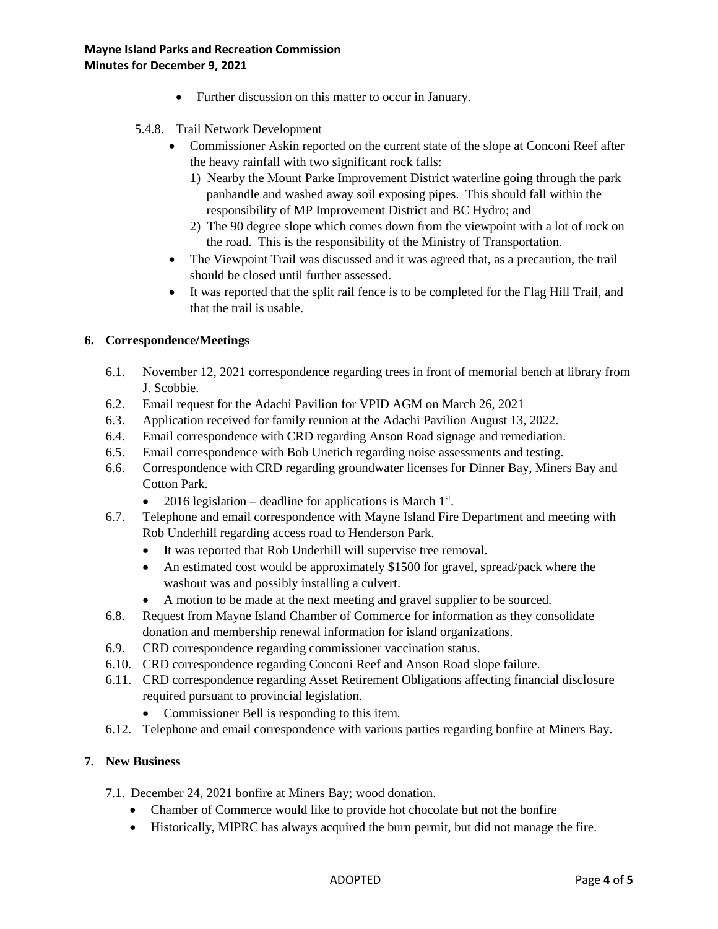- Further discussion on this matter to occur in January.
- 5.4.8. Trail Network Development
	- Commissioner Askin reported on the current state of the slope at Conconi Reef after the heavy rainfall with two significant rock falls:
		- 1) Nearby the Mount Parke Improvement District waterline going through the park panhandle and washed away soil exposing pipes. This should fall within the responsibility of MP Improvement District and BC Hydro; and
		- 2) The 90 degree slope which comes down from the viewpoint with a lot of rock on the road. This is the responsibility of the Ministry of Transportation.
	- The Viewpoint Trail was discussed and it was agreed that, as a precaution, the trail should be closed until further assessed.
	- It was reported that the split rail fence is to be completed for the Flag Hill Trail, and that the trail is usable.

## **6. Correspondence/Meetings**

- 6.1. November 12, 2021 correspondence regarding trees in front of memorial bench at library from J. Scobbie.
- 6.2. Email request for the Adachi Pavilion for VPID AGM on March 26, 2021
- 6.3. Application received for family reunion at the Adachi Pavilion August 13, 2022.
- 6.4. Email correspondence with CRD regarding Anson Road signage and remediation.
- 6.5. Email correspondence with Bob Unetich regarding noise assessments and testing.
- 6.6. Correspondence with CRD regarding groundwater licenses for Dinner Bay, Miners Bay and Cotton Park.
	- 2016 legislation deadline for applications is March  $1<sup>st</sup>$ .
- 6.7. Telephone and email correspondence with Mayne Island Fire Department and meeting with Rob Underhill regarding access road to Henderson Park.
	- It was reported that Rob Underhill will supervise tree removal.
	- An estimated cost would be approximately \$1500 for gravel, spread/pack where the washout was and possibly installing a culvert.
	- A motion to be made at the next meeting and gravel supplier to be sourced.
- 6.8. Request from Mayne Island Chamber of Commerce for information as they consolidate donation and membership renewal information for island organizations.
- 6.9. CRD correspondence regarding commissioner vaccination status.
- 6.10. CRD correspondence regarding Conconi Reef and Anson Road slope failure.
- 6.11. CRD correspondence regarding Asset Retirement Obligations affecting financial disclosure required pursuant to provincial legislation.
	- Commissioner Bell is responding to this item.
- 6.12. Telephone and email correspondence with various parties regarding bonfire at Miners Bay.

## **7. New Business**

- 7.1. December 24, 2021 bonfire at Miners Bay; wood donation.
	- Chamber of Commerce would like to provide hot chocolate but not the bonfire
	- Historically, MIPRC has always acquired the burn permit, but did not manage the fire.